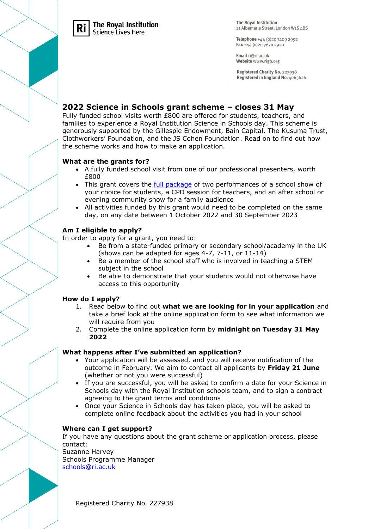

#### **The Roval Institution** Science Lives Here

**The Royal Institution** 21 Albemarle Street, London W1S 4BS

Telephone +44 (0)20 7409 2992 Fax +44 (0)20 7670 2920

Email ri@ri.ac.uk Website www.rigb.org

Registered Charity No. 227938 Registered in England No. 4065626

## **2022 Science in Schools grant scheme – closes 31 May**

Fully funded school visits worth £800 are offered for students, teachers, and families to experience a Royal Institution Science in Schools day. This scheme is generously supported by the Gillespie Endowment, Bain Capital, The Kusuma Trust, Clothworkers' Foundation, and the JS Cohen Foundation. Read on to find out how the scheme works and how to make an application.

### **What are the grants for?**

- A fully funded school visit from one of our professional presenters, worth £800
- This grant covers the [full package](https://www.rigb.org/education/science-in-your-school) of two performances of a school show of your choice for students, a CPD session for teachers, and an after school or evening community show for a family audience
- All activities funded by this grant would need to be completed on the same day, on any date between 1 October 2022 and 30 September 2023

## **Am I eligible to apply?**

In order to apply for a grant, you need to:

- Be from a state-funded primary or secondary school/academy in the UK (shows can be adapted for ages 4-7, 7-11, or 11-14)
- Be a member of the school staff who is involved in teaching a STEM subject in the school
- Be able to demonstrate that your students would not otherwise have access to this opportunity

### **How do I apply?**

- 1. Read below to find out **what we are looking for in your application** and take a brief look at the online application form to see what information we will require from you
- 2. Complete the online application form by **midnight on Tuesday 31 May 2022**

### **What happens after I've submitted an application?**

- Your application will be assessed, and you will receive notification of the outcome in February. We aim to contact all applicants by **Friday 21 June** (whether or not you were successful)
- If you are successful, you will be asked to confirm a date for your Science in Schools day with the Royal Institution schools team, and to sign a contract agreeing to the grant terms and conditions
- Once your Science in Schools day has taken place, you will be asked to complete online feedback about the activities you had in your school

### **Where can I get support?**

If you have any questions about the grant scheme or application process, please contact:

Suzanne Harvey Schools Programme Manager [schools@ri.ac.uk](mailto:schools@ri.ac.uk)

Registered Charity No. 227938